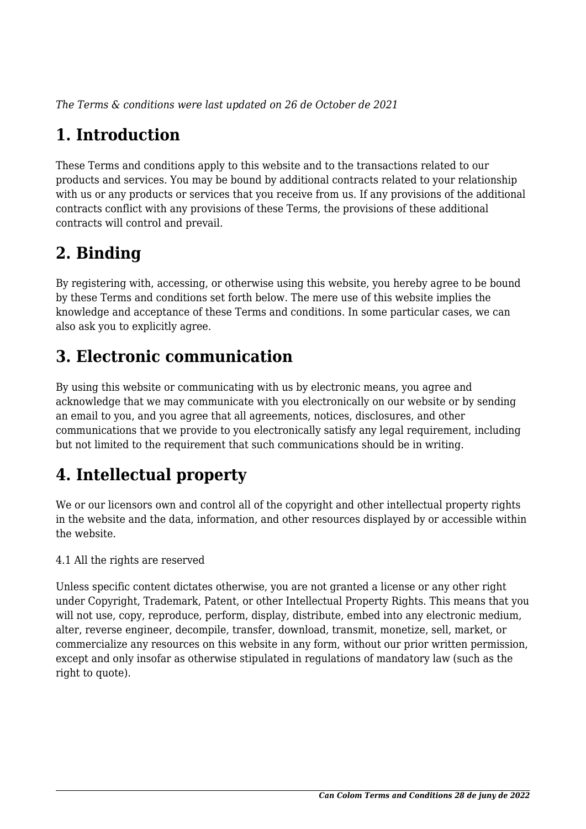*The Terms & conditions were last updated on 26 de October de 2021*

# **1. Introduction**

These Terms and conditions apply to this website and to the transactions related to our products and services. You may be bound by additional contracts related to your relationship with us or any products or services that you receive from us. If any provisions of the additional contracts conflict with any provisions of these Terms, the provisions of these additional contracts will control and prevail.

# **2. Binding**

By registering with, accessing, or otherwise using this website, you hereby agree to be bound by these Terms and conditions set forth below. The mere use of this website implies the knowledge and acceptance of these Terms and conditions. In some particular cases, we can also ask you to explicitly agree.

# **3. Electronic communication**

By using this website or communicating with us by electronic means, you agree and acknowledge that we may communicate with you electronically on our website or by sending an email to you, and you agree that all agreements, notices, disclosures, and other communications that we provide to you electronically satisfy any legal requirement, including but not limited to the requirement that such communications should be in writing.

# **4. Intellectual property**

We or our licensors own and control all of the copyright and other intellectual property rights in the website and the data, information, and other resources displayed by or accessible within the website.

4.1 All the rights are reserved

Unless specific content dictates otherwise, you are not granted a license or any other right under Copyright, Trademark, Patent, or other Intellectual Property Rights. This means that you will not use, copy, reproduce, perform, display, distribute, embed into any electronic medium, alter, reverse engineer, decompile, transfer, download, transmit, monetize, sell, market, or commercialize any resources on this website in any form, without our prior written permission, except and only insofar as otherwise stipulated in regulations of mandatory law (such as the right to quote).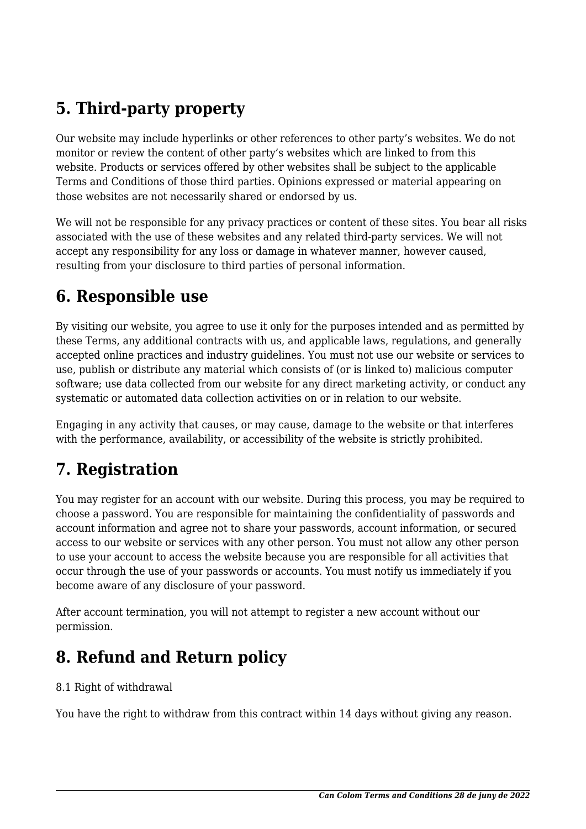# **5. Third-party property**

Our website may include hyperlinks or other references to other party's websites. We do not monitor or review the content of other party's websites which are linked to from this website. Products or services offered by other websites shall be subject to the applicable Terms and Conditions of those third parties. Opinions expressed or material appearing on those websites are not necessarily shared or endorsed by us.

We will not be responsible for any privacy practices or content of these sites. You bear all risks associated with the use of these websites and any related third-party services. We will not accept any responsibility for any loss or damage in whatever manner, however caused, resulting from your disclosure to third parties of personal information.

#### **6. Responsible use**

By visiting our website, you agree to use it only for the purposes intended and as permitted by these Terms, any additional contracts with us, and applicable laws, regulations, and generally accepted online practices and industry guidelines. You must not use our website or services to use, publish or distribute any material which consists of (or is linked to) malicious computer software; use data collected from our website for any direct marketing activity, or conduct any systematic or automated data collection activities on or in relation to our website.

Engaging in any activity that causes, or may cause, damage to the website or that interferes with the performance, availability, or accessibility of the website is strictly prohibited.

#### **7. Registration**

You may register for an account with our website. During this process, you may be required to choose a password. You are responsible for maintaining the confidentiality of passwords and account information and agree not to share your passwords, account information, or secured access to our website or services with any other person. You must not allow any other person to use your account to access the website because you are responsible for all activities that occur through the use of your passwords or accounts. You must notify us immediately if you become aware of any disclosure of your password.

After account termination, you will not attempt to register a new account without our permission.

#### **8. Refund and Return policy**

#### 8.1 Right of withdrawal

You have the right to withdraw from this contract within 14 days without giving any reason.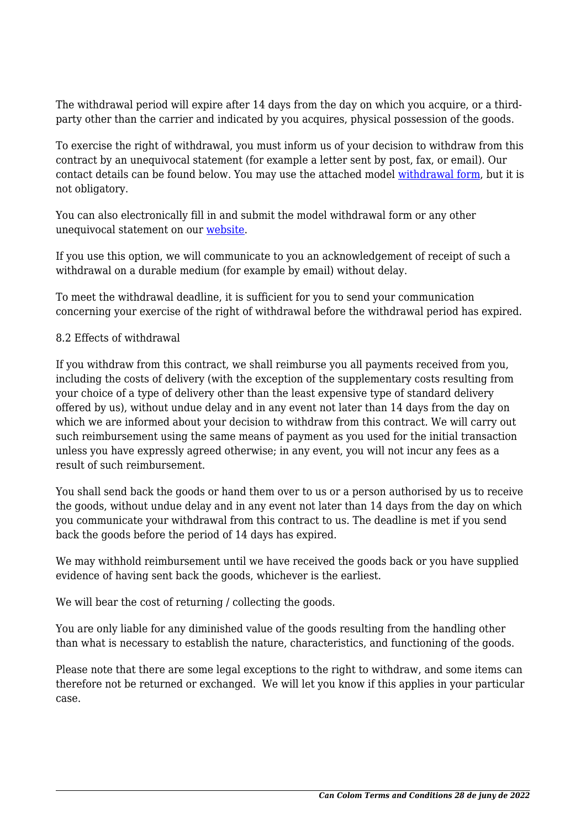The withdrawal period will expire after 14 days from the day on which you acquire, or a thirdparty other than the carrier and indicated by you acquires, physical possession of the goods.

To exercise the right of withdrawal, you must inform us of your decision to withdraw from this contract by an unequivocal statement (for example a letter sent by post, fax, or email). Our contact details can be found below. You may use the attached model [withdrawal form](https://www.cancolom.com/wp-content/uploads/complianz/withdrawal-forms/withdrawal-form-ca.pdf), but it is not obligatory.

You can also electronically fill in and submit the model withdrawal form or any other unequivocal statement on our [website](https://www.cancolom.com/contact/).

If you use this option, we will communicate to you an acknowledgement of receipt of such a withdrawal on a durable medium (for example by email) without delay.

To meet the withdrawal deadline, it is sufficient for you to send your communication concerning your exercise of the right of withdrawal before the withdrawal period has expired.

#### 8.2 Effects of withdrawal

If you withdraw from this contract, we shall reimburse you all payments received from you, including the costs of delivery (with the exception of the supplementary costs resulting from your choice of a type of delivery other than the least expensive type of standard delivery offered by us), without undue delay and in any event not later than 14 days from the day on which we are informed about your decision to withdraw from this contract. We will carry out such reimbursement using the same means of payment as you used for the initial transaction unless you have expressly agreed otherwise; in any event, you will not incur any fees as a result of such reimbursement.

You shall send back the goods or hand them over to us or a person authorised by us to receive the goods, without undue delay and in any event not later than 14 days from the day on which you communicate your withdrawal from this contract to us. The deadline is met if you send back the goods before the period of 14 days has expired.

We may withhold reimbursement until we have received the goods back or you have supplied evidence of having sent back the goods, whichever is the earliest.

We will bear the cost of returning / collecting the goods.

You are only liable for any diminished value of the goods resulting from the handling other than what is necessary to establish the nature, characteristics, and functioning of the goods.

Please note that there are some legal exceptions to the right to withdraw, and some items can therefore not be returned or exchanged. We will let you know if this applies in your particular case.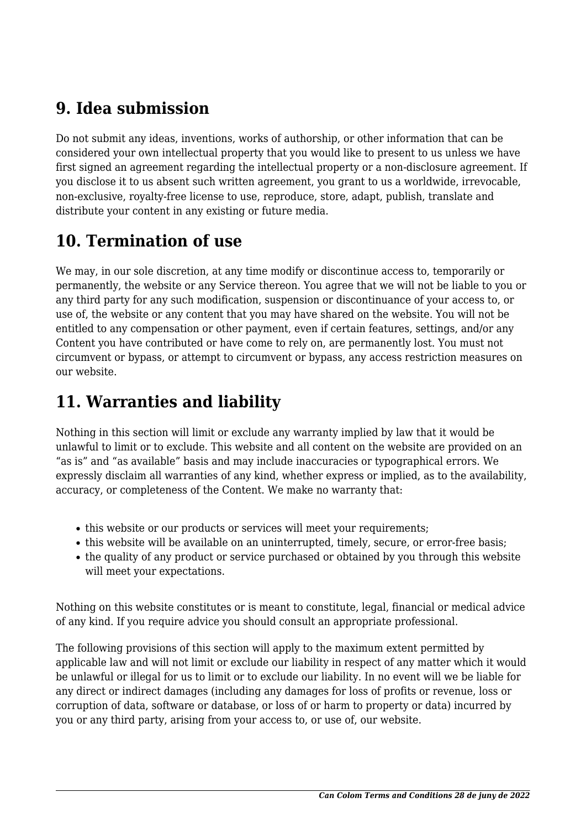### **9. Idea submission**

Do not submit any ideas, inventions, works of authorship, or other information that can be considered your own intellectual property that you would like to present to us unless we have first signed an agreement regarding the intellectual property or a non-disclosure agreement. If you disclose it to us absent such written agreement, you grant to us a worldwide, irrevocable, non-exclusive, royalty-free license to use, reproduce, store, adapt, publish, translate and distribute your content in any existing or future media.

# **10. Termination of use**

We may, in our sole discretion, at any time modify or discontinue access to, temporarily or permanently, the website or any Service thereon. You agree that we will not be liable to you or any third party for any such modification, suspension or discontinuance of your access to, or use of, the website or any content that you may have shared on the website. You will not be entitled to any compensation or other payment, even if certain features, settings, and/or any Content you have contributed or have come to rely on, are permanently lost. You must not circumvent or bypass, or attempt to circumvent or bypass, any access restriction measures on our website.

# **11. Warranties and liability**

Nothing in this section will limit or exclude any warranty implied by law that it would be unlawful to limit or to exclude. This website and all content on the website are provided on an "as is" and "as available" basis and may include inaccuracies or typographical errors. We expressly disclaim all warranties of any kind, whether express or implied, as to the availability, accuracy, or completeness of the Content. We make no warranty that:

- this website or our products or services will meet your requirements;
- this website will be available on an uninterrupted, timely, secure, or error-free basis;
- the quality of any product or service purchased or obtained by you through this website will meet your expectations.

Nothing on this website constitutes or is meant to constitute, legal, financial or medical advice of any kind. If you require advice you should consult an appropriate professional.

The following provisions of this section will apply to the maximum extent permitted by applicable law and will not limit or exclude our liability in respect of any matter which it would be unlawful or illegal for us to limit or to exclude our liability. In no event will we be liable for any direct or indirect damages (including any damages for loss of profits or revenue, loss or corruption of data, software or database, or loss of or harm to property or data) incurred by you or any third party, arising from your access to, or use of, our website.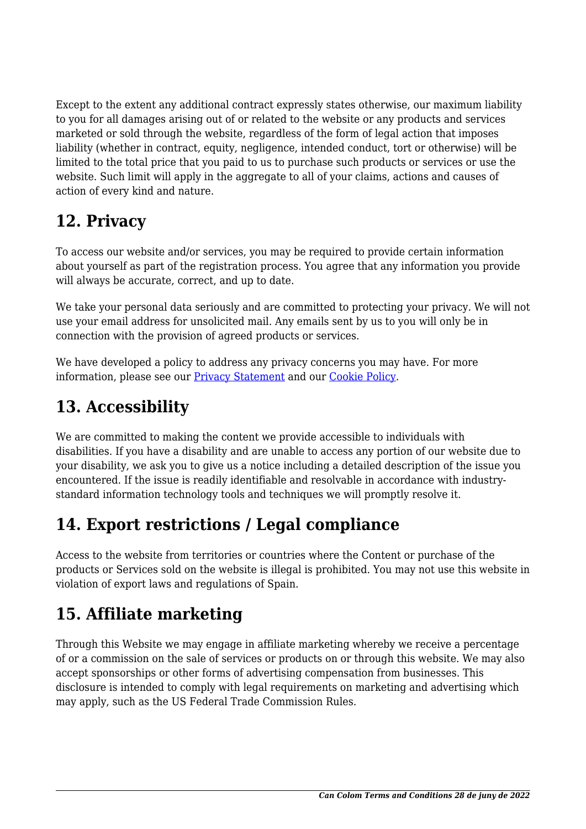Except to the extent any additional contract expressly states otherwise, our maximum liability to you for all damages arising out of or related to the website or any products and services marketed or sold through the website, regardless of the form of legal action that imposes liability (whether in contract, equity, negligence, intended conduct, tort or otherwise) will be limited to the total price that you paid to us to purchase such products or services or use the website. Such limit will apply in the aggregate to all of your claims, actions and causes of action of every kind and nature.

# **12. Privacy**

To access our website and/or services, you may be required to provide certain information about yourself as part of the registration process. You agree that any information you provide will always be accurate, correct, and up to date.

We take your personal data seriously and are committed to protecting your privacy. We will not use your email address for unsolicited mail. Any emails sent by us to you will only be in connection with the provision of agreed products or services.

We have developed a policy to address any privacy concerns you may have. For more information, please see our [Privacy Statement](https://www.cancolom.com/politica-privacitat/) and our Cookie Policy.

# **13. Accessibility**

We are committed to making the content we provide accessible to individuals with disabilities. If you have a disability and are unable to access any portion of our website due to your disability, we ask you to give us a notice including a detailed description of the issue you encountered. If the issue is readily identifiable and resolvable in accordance with industrystandard information technology tools and techniques we will promptly resolve it.

# **14. Export restrictions / Legal compliance**

Access to the website from territories or countries where the Content or purchase of the products or Services sold on the website is illegal is prohibited. You may not use this website in violation of export laws and regulations of Spain.

# **15. Affiliate marketing**

Through this Website we may engage in affiliate marketing whereby we receive a percentage of or a commission on the sale of services or products on or through this website. We may also accept sponsorships or other forms of advertising compensation from businesses. This disclosure is intended to comply with legal requirements on marketing and advertising which may apply, such as the US Federal Trade Commission Rules.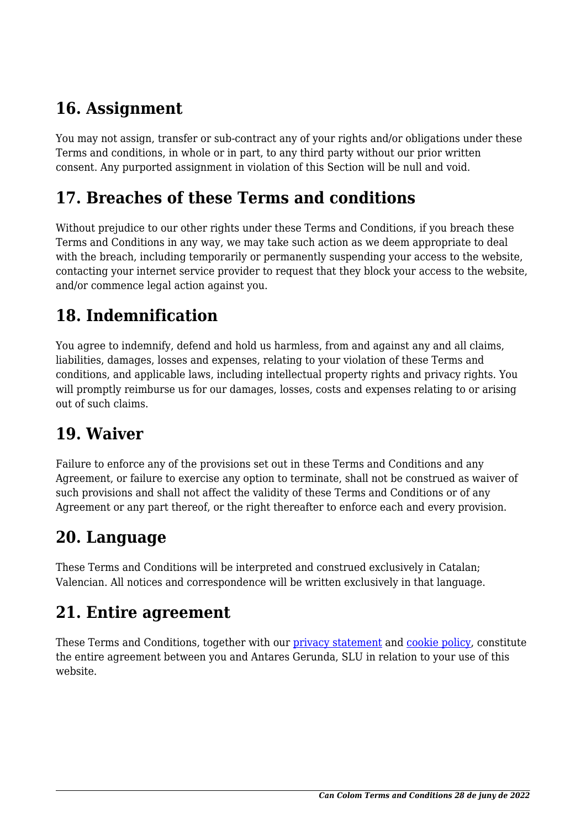## **16. Assignment**

You may not assign, transfer or sub-contract any of your rights and/or obligations under these Terms and conditions, in whole or in part, to any third party without our prior written consent. Any purported assignment in violation of this Section will be null and void.

#### **17. Breaches of these Terms and conditions**

Without prejudice to our other rights under these Terms and Conditions, if you breach these Terms and Conditions in any way, we may take such action as we deem appropriate to deal with the breach, including temporarily or permanently suspending your access to the website, contacting your internet service provider to request that they block your access to the website, and/or commence legal action against you.

## **18. Indemnification**

You agree to indemnify, defend and hold us harmless, from and against any and all claims, liabilities, damages, losses and expenses, relating to your violation of these Terms and conditions, and applicable laws, including intellectual property rights and privacy rights. You will promptly reimburse us for our damages, losses, costs and expenses relating to or arising out of such claims.

#### **19. Waiver**

Failure to enforce any of the provisions set out in these Terms and Conditions and any Agreement, or failure to exercise any option to terminate, shall not be construed as waiver of such provisions and shall not affect the validity of these Terms and Conditions or of any Agreement or any part thereof, or the right thereafter to enforce each and every provision.

#### **20. Language**

These Terms and Conditions will be interpreted and construed exclusively in Catalan; Valencian. All notices and correspondence will be written exclusively in that language.

#### **21. Entire agreement**

These Terms and Conditions, together with our [privacy statement](https://www.cancolom.com/politica-privacitat/) and cookie policy, constitute the entire agreement between you and Antares Gerunda, SLU in relation to your use of this website.